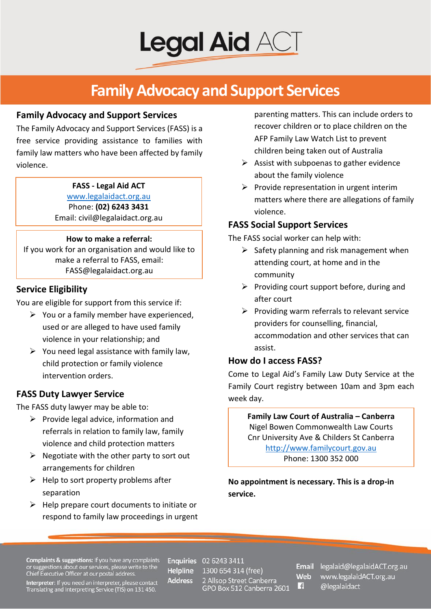

## **Family Advocacy and Support Services**

#### **Family Advocacy and Support Services**

The Family Advocacy and Support Services (FASS) is a free service providing assistance to families with family law matters who have been affected by family violence.

#### **FASS - Legal Aid ACT**

[www.legalaidact.org.au](file://lacdc2008/General%20Practice/Community%20Legal%20Education/Publications%20and%20Pamphlets/WEBSITE/www.legalaidact.org.au) Phone: **(02) 6243 3431** Email: civil@legalaidact.org.au

#### **How to make a referral:**

If you work for an organisation and would like to make a referral to FASS, email: FASS@legalaidact.org.au

## **Service Eligibility**

You are eligible for support from this service if:

- $\triangleright$  You or a family member have experienced, used or are alleged to have used family violence in your relationship; and
- $\triangleright$  You need legal assistance with family law, child protection or family violence intervention orders.

## **FASS Duty Lawyer Service**

The FASS duty lawyer may be able to:

- $\triangleright$  Provide legal advice, information and referrals in relation to family law, family violence and child protection matters
- $\triangleright$  Negotiate with the other party to sort out arrangements for children
- $\triangleright$  Help to sort property problems after separation
- $\triangleright$  Help prepare court documents to initiate or respond to family law proceedings in urgent

parenting matters. This can include orders to recover children or to place children on the AFP Family Law Watch List to prevent children being taken out of Australia

- $\triangleright$  Assist with subpoenas to gather evidence about the family violence
- $\triangleright$  Provide representation in urgent interim matters where there are allegations of family violence.

## **FASS Social Support Services**

The FASS social worker can help with:

- $\triangleright$  Safety planning and risk management when attending court, at home and in the community
- $\triangleright$  Providing court support before, during and after court
- $\triangleright$  Providing warm referrals to relevant service providers for counselling, financial, accommodation and other services that can assist.

## **How do I access FASS?**

Come to Legal Aid's Family Law Duty Service at the Family Court registry between 10am and 3pm each week day.

**Family Law Court of Australia – Canberra** Nigel Bowen Commonwealth Law Courts Cnr University Ave & Childers St Canberra [http://www.familycourt.gov.au](http://www.familycourt.gov.au/) Phone: 1300 352 000

**No appointment is necessary. This is a drop-in service.**

**Complaints & suggestions:** If you have any complaints<br>or suggestions about our services, please write to the<br>Chief Executive Officer at our postal address.

**Helpline Address** 

**Enquiries** 02 6243 3411 1300 654 314 (free) 2 Allsop Street Canberra<br>GPO Box 512 Canberra 2601

Web F.

Email legalaid@legalaidACT.org.au www.legalaidACT.org.au @legalaidact

Interpreter: If you need an interpreter, please contact Translating and Interpreting Service (TIS) on 131 450.